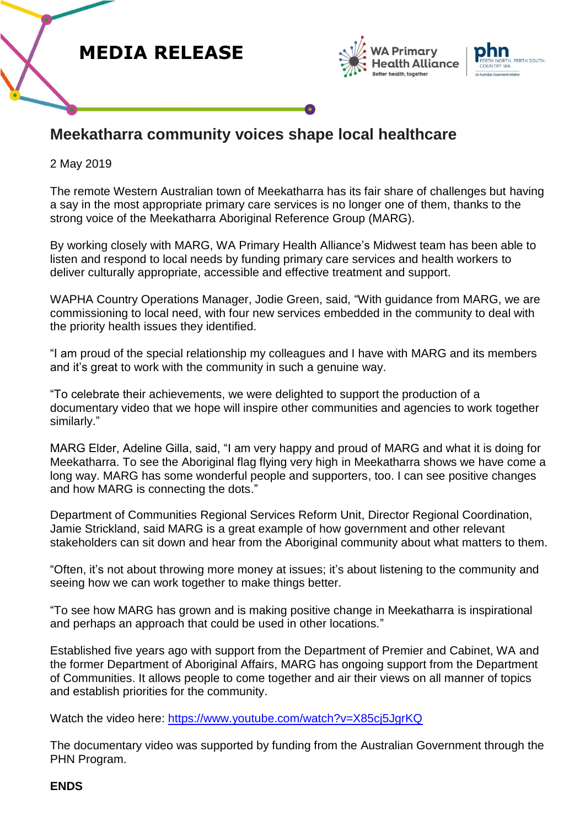





## **Meekatharra community voices shape local healthcare**

2 May 2019

The remote Western Australian town of Meekatharra has its fair share of challenges but having a say in the most appropriate primary care services is no longer one of them, thanks to the strong voice of the Meekatharra Aboriginal Reference Group (MARG).

By working closely with MARG, WA Primary Health Alliance's Midwest team has been able to listen and respond to local needs by funding primary care services and health workers to deliver culturally appropriate, accessible and effective treatment and support.

WAPHA Country Operations Manager, Jodie Green, said, "With guidance from MARG, we are commissioning to local need, with four new services embedded in the community to deal with the priority health issues they identified.

"I am proud of the special relationship my colleagues and I have with MARG and its members and it's great to work with the community in such a genuine way.

"To celebrate their achievements, we were delighted to support the production of a documentary video that we hope will inspire other communities and agencies to work together similarly."

MARG Elder, Adeline Gilla, said, "I am very happy and proud of MARG and what it is doing for Meekatharra. To see the Aboriginal flag flying very high in Meekatharra shows we have come a long way. MARG has some wonderful people and supporters, too. I can see positive changes and how MARG is connecting the dots."

Department of Communities Regional Services Reform Unit, Director Regional Coordination, Jamie Strickland, said MARG is a great example of how government and other relevant stakeholders can sit down and hear from the Aboriginal community about what matters to them.

"Often, it's not about throwing more money at issues; it's about listening to the community and seeing how we can work together to make things better.

"To see how MARG has grown and is making positive change in Meekatharra is inspirational and perhaps an approach that could be used in other locations."

Established five years ago with support from the Department of Premier and Cabinet, WA and the former Department of Aboriginal Affairs, MARG has ongoing support from the Department of Communities. It allows people to come together and air their views on all manner of topics and establish priorities for the community.

Watch the video here: https://www.youtube.com/watch?v=X85cj5JqrKQ

The documentary video was supported by funding from the Australian Government through the PHN Program.

## **ENDS**